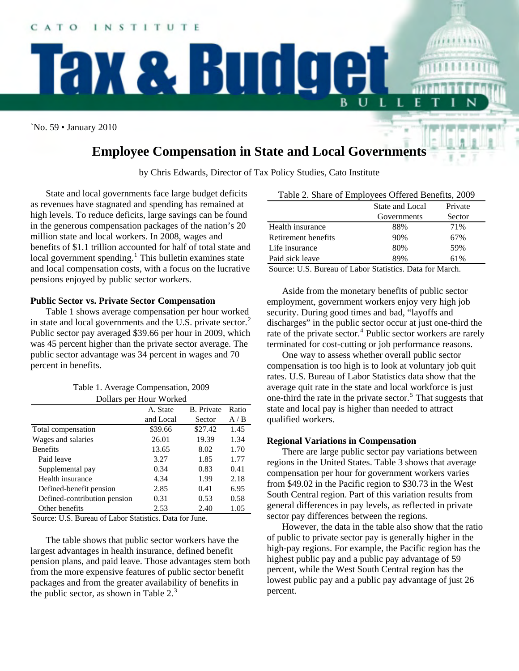`No. 59 • January 2010

# **Employee Compensation in State and Local Governments**

**Tax & Budget** 

by Chris Edwards, Director of Tax Policy Studies, Cato Institute

State and local governments face large budget deficits as revenues have stagnated and spending has remained at high levels. To reduce deficits, large savings can be found in the generous compensation packages of the nation's 20 million state and local workers. In 2008, wages and benefits of \$1.1 trillion accounted for half of total state and local government spending.<sup>[1](#page-2-0)</sup> This bulletin examines state and local compensation costs, with a focus on the lucrative pensions enjoyed by public sector workers.

## **Public Sector vs. Private Sector Compensation**

Table 1 shows average compensation per hour worked in state and local governments and the U.S. private sector.<sup>[2](#page-2-1)</sup> Public sector pay averaged \$39.66 per hour in 2009, which was 45 percent higher than the private sector average. The public sector advantage was 34 percent in wages and 70 percent in benefits.

| Table 1. Average Compensation, 2009 |  |
|-------------------------------------|--|
| Dollars per Hour Worked             |  |

|                              | A. State  | <b>B.</b> Private | Ratio |
|------------------------------|-----------|-------------------|-------|
|                              | and Local | Sector            | A/B   |
| Total compensation           | \$39.66   | \$27.42           | 1.45  |
| Wages and salaries           | 26.01     | 19.39             | 1.34  |
| <b>Benefits</b>              | 13.65     | 8.02              | 1.70  |
| Paid leave                   | 3.27      | 1.85              | 1.77  |
| Supplemental pay             | 0.34      | 0.83              | 0.41  |
| Health insurance             | 4.34      | 1.99              | 2.18  |
| Defined-benefit pension      | 2.85      | 0.41              | 6.95  |
| Defined-contribution pension | 0.31      | 0.53              | 0.58  |
| Other benefits               | 2.53      | 2.40              | 1.05  |

Source: U.S. Bureau of Labor Statistics. Data for June.

The table shows that public sector workers have the largest advantages in health insurance, defined benefit pension plans, and paid leave. Those advantages stem both from the more expensive features of public sector benefit packages and from the greater availability of benefits in the public sector, as shown in Table  $2<sup>3</sup>$  $2<sup>3</sup>$  $2<sup>3</sup>$ 

| Table 2. Share of Employees Offered Benefits, 2009 |  |
|----------------------------------------------------|--|
|----------------------------------------------------|--|

L

L

|             | Private         |
|-------------|-----------------|
| Governments | Sector          |
| 88%         | 71%             |
| 90%         | 67%             |
| 80%         | 59%             |
| 89%         | 61%             |
|             | State and Local |

Source: U.S. Bureau of Labor Statistics. Data for March.

Aside from the monetary benefits of public sector employment, government workers enjoy very high job security. During good times and bad, "layoffs and discharges" in the public sector occur at just one-third the rate of the private sector.<sup>[4](#page-2-1)</sup> Public sector workers are rarely terminated for cost-cutting or job performance reasons.

One way to assess whether overall public sector compensation is too high is to look at voluntary job quit rates. U.S. Bureau of Labor Statistics data show that the average quit rate in the state and local workforce is just one-third the rate in the private sector.<sup>[5](#page-2-1)</sup> That suggests that state and local pay is higher than needed to attract qualified workers.

# **Regional Variations in Compensation**

There are large public sector pay variations between regions in the United States. Table 3 shows that average compensation per hour for government workers varies from \$49.02 in the Pacific region to \$30.73 in the West South Central region. Part of this variation results from general differences in pay levels, as reflected in private sector pay differences between the regions.

However, the data in the table also show that the ratio of public to private sector pay is generally higher in the high-pay regions. For example, the Pacific region has the highest public pay and a public pay advantage of 59 percent, while the West South Central region has the lowest public pay and a public pay advantage of just 26 percent.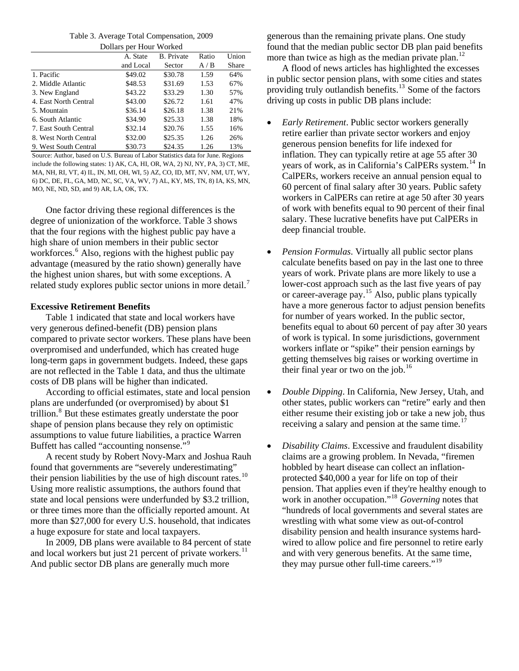Table 3. Average Total Compensation, 2009 Dollars per Hour Worked

| DOIIARS DET HOUT WORKED |           |                   |       |       |  |
|-------------------------|-----------|-------------------|-------|-------|--|
|                         | A. State  | <b>B.</b> Private | Ratio | Union |  |
|                         | and Local | Sector            | A/B   | Share |  |
| 1. Pacific              | \$49.02   | \$30.78           | 1.59  | 64%   |  |
| 2. Middle Atlantic      | \$48.53   | \$31.69           | 1.53  | 67%   |  |
| 3. New England          | \$43.22   | \$33.29           | 1.30  | 57%   |  |
| 4. East North Central   | \$43.00   | \$26.72           | 1.61  | 47%   |  |
| 5. Mountain             | \$36.14   | \$26.18           | 1.38  | 21%   |  |
| 6. South Atlantic       | \$34.90   | \$25.33           | 1.38  | 18%   |  |
| 7. East South Central   | \$32.14   | \$20.76           | 1.55  | 16%   |  |
| 8. West North Central   | \$32.00   | \$25.35           | 1.26  | 26%   |  |
| 9. West South Central   | \$30.73   | \$24.35           | 1.26  | 13%   |  |

Source: Author, based on U.S. Bureau of Labor Statistics data for June. Regions include the following states: 1) AK, CA, HI, OR, WA, 2) NJ, NY, PA, 3) CT, ME, MA, NH, RI, VT, 4) IL, IN, MI, OH, WI, 5) AZ, CO, ID, MT, NV, NM, UT, WY, 6) DC, DE, FL, GA, MD, NC, SC, VA, WV, 7) AL, KY, MS, TN, 8) IA, KS, MN, MO, NE, ND, SD, and 9) AR, LA, OK, TX.

One factor driving these regional differences is the degree of unionization of the workforce. Table 3 shows that the four regions with the highest public pay have a high share of union members in their public sector workforces.<sup>[6](#page-2-1)</sup> Also, regions with the highest public pay advantage (measured by the ratio shown) generally have the highest union shares, but with some exceptions. A related study explores public sector unions in more detail.<sup>[7](#page-2-1)</sup>

## **Excessive Retirement Benefits**

Table 1 indicated that state and local workers have very generous defined-benefit (DB) pension plans compared to private sector workers. These plans have been overpromised and underfunded, which has created huge long-term gaps in government budgets. Indeed, these gaps are not reflected in the Table 1 data, and thus the ultimate costs of DB plans will be higher than indicated.

According to official estimates, state and local pension plans are underfunded (or overpromised) by about \$1 trillion.<sup>[8](#page-2-1)</sup> But these estimates greatly understate the poor shape of pension plans because they rely on optimistic assumptions to value future liabilities, a practice Warren Buffett has called "accounting nonsense."[9](#page-2-1)

A recent study by Robert Novy-Marx and Joshua Rauh found that governments are "severely underestimating" their pension liabilities by the use of high discount rates. $10$ Using more realistic assumptions, the authors found that state and local pensions were underfunded by \$3.2 trillion, or three times more than the officially reported amount. At more than \$27,000 for every U.S. household, that indicates a huge exposure for state and local taxpayers.

In 2009, DB plans were available to 84 percent of state and local workers but just 21 percent of private workers.<sup>[11](#page-2-1)</sup> And public sector DB plans are generally much more

generous than the remaining private plans. One study found that the median public sector DB plan paid benefits more than twice as high as the median private plan.<sup>[12](#page-2-1)</sup>

A flood of news articles has highlighted the excesses in public sector pension plans, with some cities and states providing truly outlandish benefits.<sup>[13](#page-2-1)</sup> Some of the factors driving up costs in public DB plans include:

- *Early Retirement*. Public sector workers generally retire earlier than private sector workers and enjoy generous pension benefits for life indexed for inflation. They can typically retire at age 55 after 30 years of work, as in California's CalPERs system.<sup>[14](#page-2-1)</sup> In CalPERs, workers receive an annual pension equal to 60 percent of final salary after 30 years. Public safety workers in CalPERs can retire at age 50 after 30 years of work with benefits equal to 90 percent of their final salary. These lucrative benefits have put CalPERs in deep financial trouble.
- *Pension Formulas*. Virtually all public sector plans calculate benefits based on pay in the last one to three years of work. Private plans are more likely to use a lower-cost approach such as the last five years of pay or career-average pay.[15](#page-2-1) Also, public plans typically have a more generous factor to adjust pension benefits for number of years worked. In the public sector, benefits equal to about 60 percent of pay after 30 years of work is typical. In some jurisdictions, government workers inflate or "spike" their pension earnings by getting themselves big raises or working overtime in their final year or two on the job. $16$
- *Double Dipping*. In California, New Jersey, Utah, and other states, public workers can "retire" early and then either resume their existing job or take a new job, thus receiving a salary and pension at the same time.<sup>[17](#page-2-1)</sup>
- *Disability Claims*. Excessive and fraudulent disability claims are a growing problem. In Nevada, "firemen hobbled by heart disease can collect an inflationprotected \$40,000 a year for life on top of their pension. That applies even if they're healthy enough to work in another occupation."[18](#page-2-1) *Governing* notes that "hundreds of local governments and several states are wrestling with what some view as out-of-control disability pension and health insurance systems hardwired to allow police and fire personnel to retire early and with very generous benefits. At the same time, they may pursue other full-time careers."<sup>[19](#page-2-1)</sup>